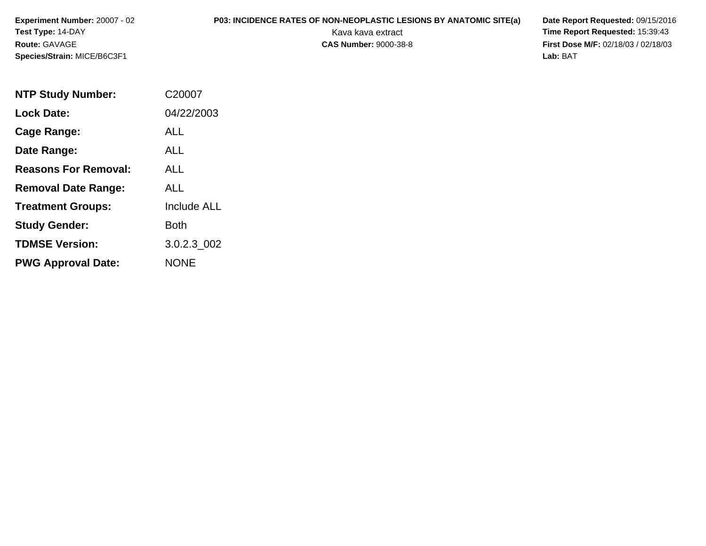**Experiment Number:** 20007 - 02**Test Type:** 14-DAY**Route:** GAVAGE**Species/Strain:** MICE/B6C3F1

## **P03: INCIDENCE RATES OF NON-NEOPLASTIC LESIONS BY ANATOMIC SITE(a) Date Report Requested: 09/15/2016<br>Kava kava extract <b>Time Report Requested:** 15:39:43

Kava kava extract **Time Report Requested:** 15:39:43<br>**CAS Number:** 9000-38-8 **Time Report Requested:** 15:39:43 **First Dose M/F:** 02/18/03 / 02/18/03<br>Lab: BAT **Lab:** BAT

| <b>NTP Study Number:</b>    | C20007             |
|-----------------------------|--------------------|
| <b>Lock Date:</b>           | 04/22/2003         |
| Cage Range:                 | ALL                |
| Date Range:                 | ALL                |
| <b>Reasons For Removal:</b> | ALL                |
| <b>Removal Date Range:</b>  | ALL                |
| <b>Treatment Groups:</b>    | <b>Include ALL</b> |
| <b>Study Gender:</b>        | Both               |
| <b>TDMSE Version:</b>       | 3.0.2.3 002        |
| <b>PWG Approval Date:</b>   | <b>NONF</b>        |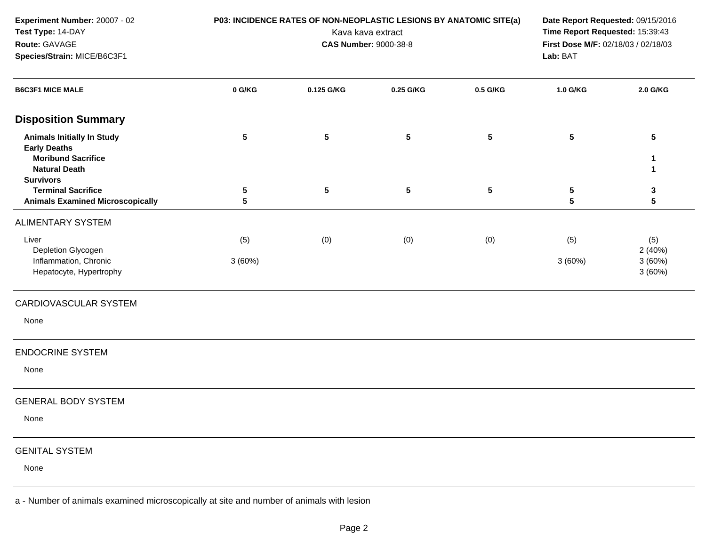| Experiment Number: 20007 - 02<br>Test Type: 14-DAY<br>Route: GAVAGE<br>Species/Strain: MICE/B6C3F1                                | <b>P03: INCIDENCE RATES OF NON-NEOPLASTIC LESIONS BY ANATOMIC SITE(a)</b><br>Kava kava extract<br><b>CAS Number: 9000-38-8</b> |                 |           |          | Date Report Requested: 09/15/2016<br>Time Report Requested: 15:39:43<br>First Dose M/F: 02/18/03 / 02/18/03<br>Lab: BAT |                  |
|-----------------------------------------------------------------------------------------------------------------------------------|--------------------------------------------------------------------------------------------------------------------------------|-----------------|-----------|----------|-------------------------------------------------------------------------------------------------------------------------|------------------|
| <b>B6C3F1 MICE MALE</b>                                                                                                           | 0 G/KG                                                                                                                         | 0.125 G/KG      | 0.25 G/KG | 0.5 G/KG | 1.0 G/KG                                                                                                                | 2.0 G/KG         |
| <b>Disposition Summary</b>                                                                                                        |                                                                                                                                |                 |           |          |                                                                                                                         |                  |
| <b>Animals Initially In Study</b><br><b>Early Deaths</b><br><b>Moribund Sacrifice</b><br><b>Natural Death</b><br><b>Survivors</b> | $5\phantom{.0}$                                                                                                                | $5\phantom{.0}$ | 5         | 5        | ${\bf 5}$                                                                                                               | $\sqrt{5}$<br>1  |
| <b>Terminal Sacrifice</b><br><b>Animals Examined Microscopically</b>                                                              | 5<br>$5\phantom{.0}$                                                                                                           | $5\phantom{.0}$ | 5         | 5        | ${\bf 5}$<br>5                                                                                                          | 3<br>5           |
| <b>ALIMENTARY SYSTEM</b>                                                                                                          |                                                                                                                                |                 |           |          |                                                                                                                         |                  |
| Liver<br>Depletion Glycogen                                                                                                       | (5)                                                                                                                            | (0)             | (0)       | (0)      | (5)                                                                                                                     | (5)<br>2(40%)    |
| Inflammation, Chronic<br>Hepatocyte, Hypertrophy                                                                                  | 3(60%)                                                                                                                         |                 |           |          | 3(60%)                                                                                                                  | 3(60%)<br>3(60%) |
| CARDIOVASCULAR SYSTEM                                                                                                             |                                                                                                                                |                 |           |          |                                                                                                                         |                  |
| None                                                                                                                              |                                                                                                                                |                 |           |          |                                                                                                                         |                  |
| <b>ENDOCRINE SYSTEM</b>                                                                                                           |                                                                                                                                |                 |           |          |                                                                                                                         |                  |
| None                                                                                                                              |                                                                                                                                |                 |           |          |                                                                                                                         |                  |
| <b>GENERAL BODY SYSTEM</b>                                                                                                        |                                                                                                                                |                 |           |          |                                                                                                                         |                  |
| None                                                                                                                              |                                                                                                                                |                 |           |          |                                                                                                                         |                  |
| <b>GENITAL SYSTEM</b>                                                                                                             |                                                                                                                                |                 |           |          |                                                                                                                         |                  |
| None                                                                                                                              |                                                                                                                                |                 |           |          |                                                                                                                         |                  |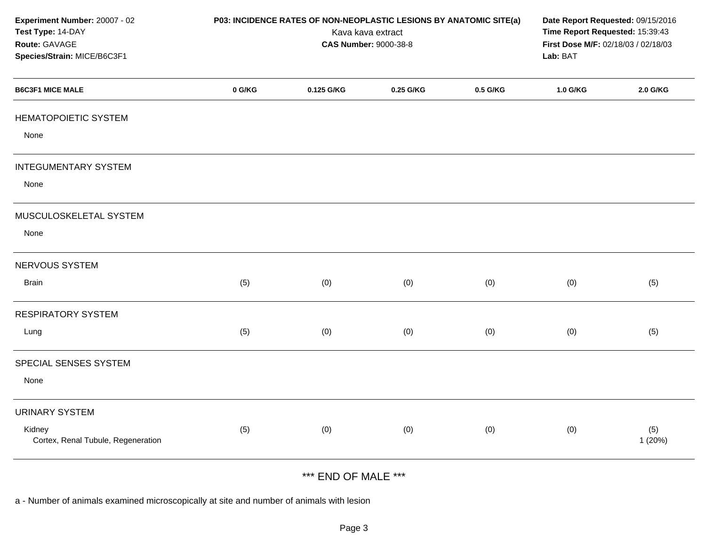| Experiment Number: 20007 - 02<br>Test Type: 14-DAY<br>Route: GAVAGE<br>Species/Strain: MICE/B6C3F1 |        | P03: INCIDENCE RATES OF NON-NEOPLASTIC LESIONS BY ANATOMIC SITE(a)<br>Kava kava extract<br><b>CAS Number: 9000-38-8</b> | Date Report Requested: 09/15/2016<br>Time Report Requested: 15:39:43<br>First Dose M/F: 02/18/03 / 02/18/03<br>Lab: BAT |          |          |                |
|----------------------------------------------------------------------------------------------------|--------|-------------------------------------------------------------------------------------------------------------------------|-------------------------------------------------------------------------------------------------------------------------|----------|----------|----------------|
| <b>B6C3F1 MICE MALE</b>                                                                            | 0 G/KG | 0.125 G/KG                                                                                                              | 0.25 G/KG                                                                                                               | 0.5 G/KG | 1.0 G/KG | 2.0 G/KG       |
| <b>HEMATOPOIETIC SYSTEM</b>                                                                        |        |                                                                                                                         |                                                                                                                         |          |          |                |
| None                                                                                               |        |                                                                                                                         |                                                                                                                         |          |          |                |
| <b>INTEGUMENTARY SYSTEM</b>                                                                        |        |                                                                                                                         |                                                                                                                         |          |          |                |
| None                                                                                               |        |                                                                                                                         |                                                                                                                         |          |          |                |
| MUSCULOSKELETAL SYSTEM                                                                             |        |                                                                                                                         |                                                                                                                         |          |          |                |
| None                                                                                               |        |                                                                                                                         |                                                                                                                         |          |          |                |
| NERVOUS SYSTEM                                                                                     |        |                                                                                                                         |                                                                                                                         |          |          |                |
| <b>Brain</b>                                                                                       | (5)    | (0)                                                                                                                     | (0)                                                                                                                     | (0)      | (0)      | (5)            |
| <b>RESPIRATORY SYSTEM</b>                                                                          |        |                                                                                                                         |                                                                                                                         |          |          |                |
| Lung                                                                                               | (5)    | (0)                                                                                                                     | (0)                                                                                                                     | (0)      | (0)      | (5)            |
| SPECIAL SENSES SYSTEM                                                                              |        |                                                                                                                         |                                                                                                                         |          |          |                |
| None                                                                                               |        |                                                                                                                         |                                                                                                                         |          |          |                |
| <b>URINARY SYSTEM</b>                                                                              |        |                                                                                                                         |                                                                                                                         |          |          |                |
| Kidney<br>Cortex, Renal Tubule, Regeneration                                                       | (5)    | (0)                                                                                                                     | (0)                                                                                                                     | (0)      | (0)      | (5)<br>1 (20%) |
|                                                                                                    |        |                                                                                                                         |                                                                                                                         |          |          |                |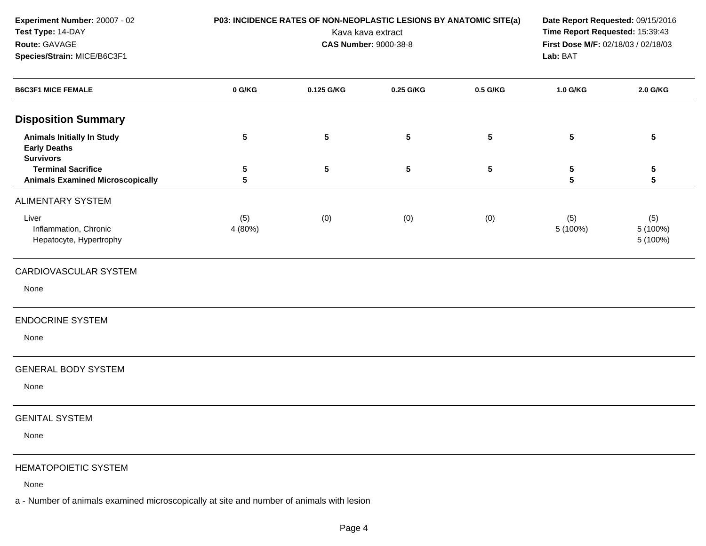| Experiment Number: 20007 - 02<br>Test Type: 14-DAY<br>Route: GAVAGE<br>Species/Strain: MICE/B6C3F1 | P03: INCIDENCE RATES OF NON-NEOPLASTIC LESIONS BY ANATOMIC SITE(a)<br>Kava kava extract<br><b>CAS Number: 9000-38-8</b> |                 |                 |          | Date Report Requested: 09/15/2016<br>Time Report Requested: 15:39:43<br>First Dose M/F: 02/18/03 / 02/18/03<br>Lab: BAT |                             |
|----------------------------------------------------------------------------------------------------|-------------------------------------------------------------------------------------------------------------------------|-----------------|-----------------|----------|-------------------------------------------------------------------------------------------------------------------------|-----------------------------|
| <b>B6C3F1 MICE FEMALE</b>                                                                          | 0 G/KG                                                                                                                  | 0.125 G/KG      | 0.25 G/KG       | 0.5 G/KG | 1.0 G/KG                                                                                                                | 2.0 G/KG                    |
| <b>Disposition Summary</b>                                                                         |                                                                                                                         |                 |                 |          |                                                                                                                         |                             |
| <b>Animals Initially In Study</b><br><b>Early Deaths</b><br><b>Survivors</b>                       | ${\bf 5}$                                                                                                               | $5\phantom{.0}$ | ${\bf 5}$       | 5        | ${\bf 5}$                                                                                                               | $5\phantom{.0}$             |
| <b>Terminal Sacrifice</b><br><b>Animals Examined Microscopically</b>                               | 5<br>5                                                                                                                  | $5\phantom{.0}$ | $5\phantom{.0}$ | 5        | ${\bf 5}$<br>5                                                                                                          | 5<br>$5\phantom{a}$         |
| <b>ALIMENTARY SYSTEM</b>                                                                           |                                                                                                                         |                 |                 |          |                                                                                                                         |                             |
| Liver<br>Inflammation, Chronic<br>Hepatocyte, Hypertrophy                                          | (5)<br>4 (80%)                                                                                                          | (0)             | (0)             | (0)      | (5)<br>5 (100%)                                                                                                         | (5)<br>5 (100%)<br>5 (100%) |
| CARDIOVASCULAR SYSTEM                                                                              |                                                                                                                         |                 |                 |          |                                                                                                                         |                             |
| None                                                                                               |                                                                                                                         |                 |                 |          |                                                                                                                         |                             |
| <b>ENDOCRINE SYSTEM</b>                                                                            |                                                                                                                         |                 |                 |          |                                                                                                                         |                             |
| None                                                                                               |                                                                                                                         |                 |                 |          |                                                                                                                         |                             |
| <b>GENERAL BODY SYSTEM</b>                                                                         |                                                                                                                         |                 |                 |          |                                                                                                                         |                             |
| None                                                                                               |                                                                                                                         |                 |                 |          |                                                                                                                         |                             |
| <b>GENITAL SYSTEM</b>                                                                              |                                                                                                                         |                 |                 |          |                                                                                                                         |                             |
| None                                                                                               |                                                                                                                         |                 |                 |          |                                                                                                                         |                             |
| HEMATOPOIETIC SYSTEM                                                                               |                                                                                                                         |                 |                 |          |                                                                                                                         |                             |

None